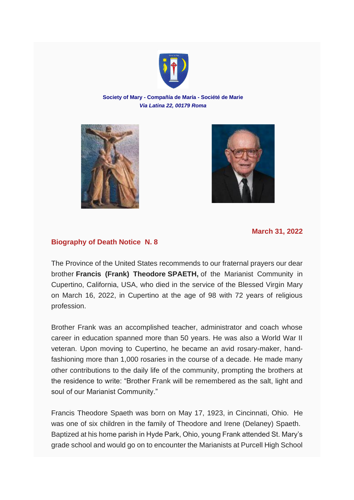

## **Society of Mary - Compañía de María - Société de Marie** *Via Latina 22, 00179 Roma*





**March 31, 2022**

## **Biography of Death Notice N. 8**

The Province of the United States recommends to our fraternal prayers our dear brother **Francis (Frank) Theodore SPAETH,** of the Marianist Community in Cupertino, California, USA, who died in the service of the Blessed Virgin Mary on March 16, 2022, in Cupertino at the age of 98 with 72 years of religious profession.

Brother Frank was an accomplished teacher, administrator and coach whose career in education spanned more than 50 years. He was also a World War II veteran. Upon moving to Cupertino, he became an avid rosary-maker, handfashioning more than 1,000 rosaries in the course of a decade. He made many other contributions to the daily life of the community, prompting the brothers at the residence to write: "Brother Frank will be remembered as the salt, light and soul of our Marianist Community."

Francis Theodore Spaeth was born on May 17, 1923, in Cincinnati, Ohio. He was one of six children in the family of Theodore and Irene (Delaney) Spaeth. Baptized at his home parish in Hyde Park, Ohio, young Frank attended St. Mary's grade school and would go on to encounter the Marianists at Purcell High School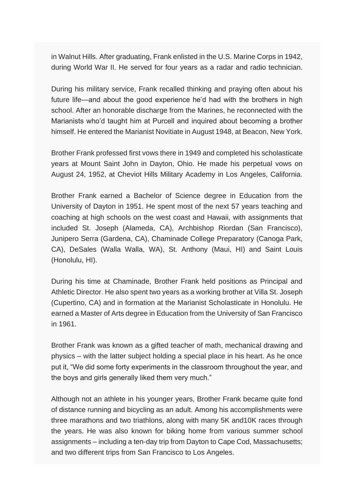in Walnut Hills. After graduating, Frank enlisted in the U.S. Marine Corps in 1942, during World War II. He served for four years as a radar and radio technician.

During his military service, Frank recalled thinking and praying often about his future life—and about the good experience he'd had with the brothers in high school. After an honorable discharge from the Marines, he reconnected with the Marianists who'd taught him at Purcell and inquired about becoming a brother himself. He entered the Marianist Novitiate in August 1948, at Beacon, New York.

Brother Frank professed first vows there in 1949 and completed his scholasticate years at Mount Saint John in Dayton, Ohio. He made his perpetual vows on August 24, 1952, at Cheviot Hills Military Academy in Los Angeles, California.

Brother Frank earned a Bachelor of Science degree in Education from the University of Dayton in 1951. He spent most of the next 57 years teaching and coaching at high schools on the west coast and Hawaii, with assignments that included St. Joseph (Alameda, CA), Archbishop Riordan (San Francisco), Junipero Serra (Gardena, CA), Chaminade College Preparatory (Canoga Park, CA), DeSales (Walla Walla, WA), St. Anthony (Maui, HI) and Saint Louis (Honolulu, HI).

During his time at Chaminade, Brother Frank held positions as Principal and Athletic Director. He also spent two years as a working brother at Villa St. Joseph (Cupertino, CA) and in formation at the Marianist Scholasticate in Honolulu. He earned a Master of Arts degree in Education from the University of San Francisco in 1961.

Brother Frank was known as a gifted teacher of math, mechanical drawing and physics – with the latter subject holding a special place in his heart. As he once put it, "We did some forty experiments in the classroom throughout the year, and the boys and girls generally liked them very much."

Although not an athlete in his younger years, Brother Frank became quite fond of distance running and bicycling as an adult. Among his accomplishments were three marathons and two triathlons, along with many 5K and10K races through the years. He was also known for biking home from various summer school assignments – including a ten-day trip from Dayton to Cape Cod, Massachusetts; and two different trips from San Francisco to Los Angeles.